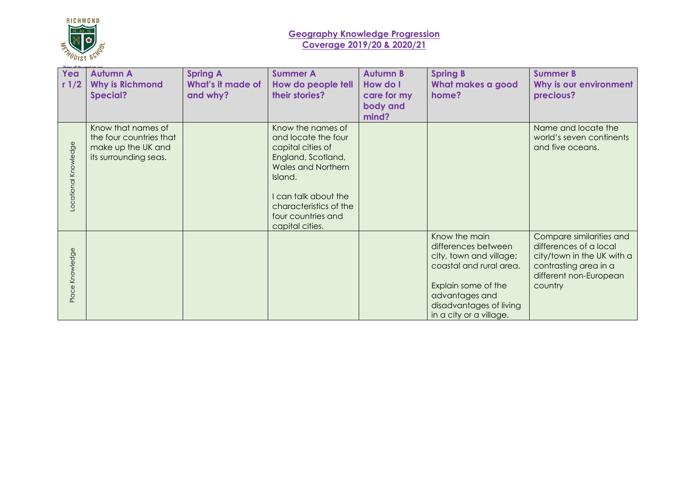

## **Geography Knowledge Progression Coverage 2019/20 & 2020/21**

| Yea                 | <b>Autumn A</b>         | <b>Spring A</b>   | <b>Summer A</b>           | <b>Autumn B</b> | <b>Spring B</b>         | <b>Summer B</b>            |
|---------------------|-------------------------|-------------------|---------------------------|-----------------|-------------------------|----------------------------|
| r1/2                | <b>Why is Richmond</b>  | What's it made of | How do people tell        | How do I        | What makes a good       | Why is our environment     |
|                     | <b>Special?</b>         | and why?          | their stories?            | care for my     | home?                   | precious?                  |
|                     |                         |                   |                           | body and        |                         |                            |
|                     |                         |                   |                           | mind?           |                         |                            |
|                     | Know that names of      |                   | Know the names of         |                 |                         | Name and locate the        |
|                     | the four countries that |                   | and locate the four       |                 |                         | world's seven continents   |
|                     | make up the UK and      |                   | capital cities of         |                 |                         | and five oceans.           |
|                     | its surrounding seas.   |                   | England, Scotland,        |                 |                         |                            |
|                     |                         |                   | <b>Wales and Northern</b> |                 |                         |                            |
|                     |                         |                   | Island.                   |                 |                         |                            |
|                     |                         |                   |                           |                 |                         |                            |
| ocational Knowledge |                         |                   | I can talk about the      |                 |                         |                            |
|                     |                         |                   | characteristics of the    |                 |                         |                            |
|                     |                         |                   | four countries and        |                 |                         |                            |
|                     |                         |                   | capital cities.           |                 |                         |                            |
|                     |                         |                   |                           |                 | Know the main           | Compare similarities and   |
|                     |                         |                   |                           |                 | differences between     | differences of a local     |
|                     |                         |                   |                           |                 | city, town and village; | city/town in the UK with a |
|                     |                         |                   |                           |                 | coastal and rural area. | contrasting area in a      |
|                     |                         |                   |                           |                 |                         | different non-European     |
| Place Knowledge     |                         |                   |                           |                 | Explain some of the     | country                    |
|                     |                         |                   |                           |                 | advantages and          |                            |
|                     |                         |                   |                           |                 | disadvantages of living |                            |
|                     |                         |                   |                           |                 | in a city or a village. |                            |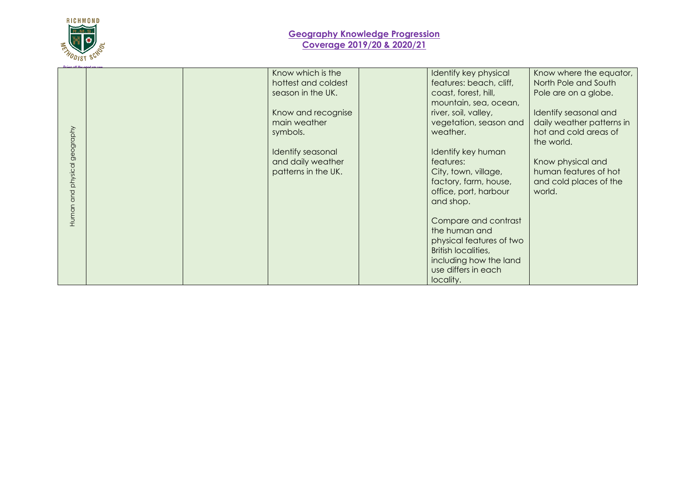

## **Geography Knowledge Progression Coverage 2019/20 & 2020/21**

| Dolor off the need me can          |  |                                                                                                                                                                                  |                                                                                                                                                                                                                                                                                                                   |                                                                                                                                                                                                                                                        |
|------------------------------------|--|----------------------------------------------------------------------------------------------------------------------------------------------------------------------------------|-------------------------------------------------------------------------------------------------------------------------------------------------------------------------------------------------------------------------------------------------------------------------------------------------------------------|--------------------------------------------------------------------------------------------------------------------------------------------------------------------------------------------------------------------------------------------------------|
| physical geography<br>and<br>Human |  | Know which is the<br>hottest and coldest<br>season in the UK.<br>Know and recognise<br>main weather<br>symbols.<br>Identify seasonal<br>and daily weather<br>patterns in the UK. | Identify key physical<br>features: beach, cliff,<br>coast, forest, hill,<br>mountain, sea, ocean,<br>river, soil, valley,<br>vegetation, season and<br>weather.<br>Identify key human<br>features:<br>City, town, village,<br>factory, farm, house,<br>office, port, harbour<br>and shop.<br>Compare and contrast | Know where the equator,<br>North Pole and South<br>Pole are on a globe.<br>Identify seasonal and<br>daily weather patterns in<br>hot and cold areas of<br>the world.<br>Know physical and<br>human features of hot<br>and cold places of the<br>world. |
|                                    |  |                                                                                                                                                                                  | the human and<br>physical features of two<br><b>British localities,</b><br>including how the land<br>use differs in each<br>locality.                                                                                                                                                                             |                                                                                                                                                                                                                                                        |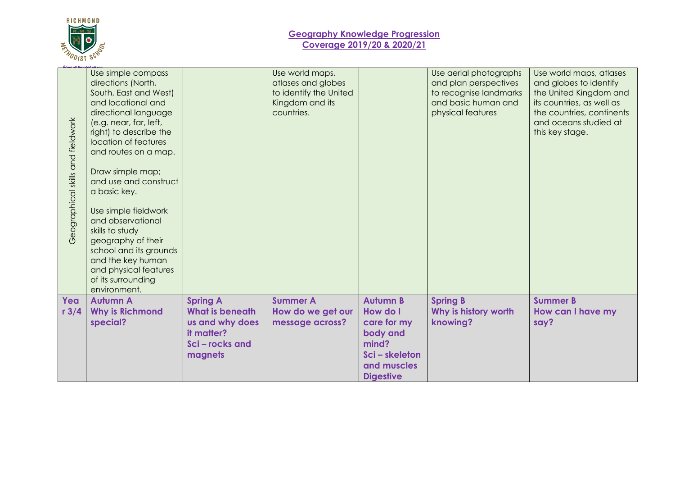

| Geographical skills and fieldwork | Use simple compass<br>directions (North,<br>South, East and West)<br>and locational and<br>directional language<br>(e.g. near, far, left,<br>right) to describe the<br>location of features<br>and routes on a map.<br>Draw simple map;<br>and use and construct<br>a basic key.<br>Use simple fieldwork<br>and observational<br>skills to study<br>geography of their<br>school and its grounds<br>and the key human<br>and physical features<br>of its surrounding<br>environment. |                                           | Use world maps,<br>atlases and globes<br>to identify the United<br>Kingdom and its<br>countries. |                                 | Use aerial photographs<br>and plan perspectives<br>to recognise landmarks<br>and basic human and<br>physical features | Use world maps, atlases<br>and globes to identify<br>the United Kingdom and<br>its countries, as well as<br>the countries, continents<br>and oceans studied at<br>this key stage. |
|-----------------------------------|--------------------------------------------------------------------------------------------------------------------------------------------------------------------------------------------------------------------------------------------------------------------------------------------------------------------------------------------------------------------------------------------------------------------------------------------------------------------------------------|-------------------------------------------|--------------------------------------------------------------------------------------------------|---------------------------------|-----------------------------------------------------------------------------------------------------------------------|-----------------------------------------------------------------------------------------------------------------------------------------------------------------------------------|
| Yea                               | <b>Autumn A</b>                                                                                                                                                                                                                                                                                                                                                                                                                                                                      | <b>Spring A</b>                           | <b>Summer A</b>                                                                                  | <b>Autumn B</b>                 | <b>Spring B</b>                                                                                                       | <b>Summer B</b>                                                                                                                                                                   |
| r3/4                              | <b>Why is Richmond</b><br>special?                                                                                                                                                                                                                                                                                                                                                                                                                                                   | <b>What is beneath</b><br>us and why does | How do we get our<br>message across?                                                             | How do I<br>care for my         | Why is history worth<br>knowing?                                                                                      | How can I have my<br>say?                                                                                                                                                         |
|                                   |                                                                                                                                                                                                                                                                                                                                                                                                                                                                                      | it matter?<br>Sci-rocks and               |                                                                                                  | body and<br>mind?               |                                                                                                                       |                                                                                                                                                                                   |
|                                   |                                                                                                                                                                                                                                                                                                                                                                                                                                                                                      | magnets                                   |                                                                                                  | Sci-skeleton                    |                                                                                                                       |                                                                                                                                                                                   |
|                                   |                                                                                                                                                                                                                                                                                                                                                                                                                                                                                      |                                           |                                                                                                  | and muscles<br><b>Digestive</b> |                                                                                                                       |                                                                                                                                                                                   |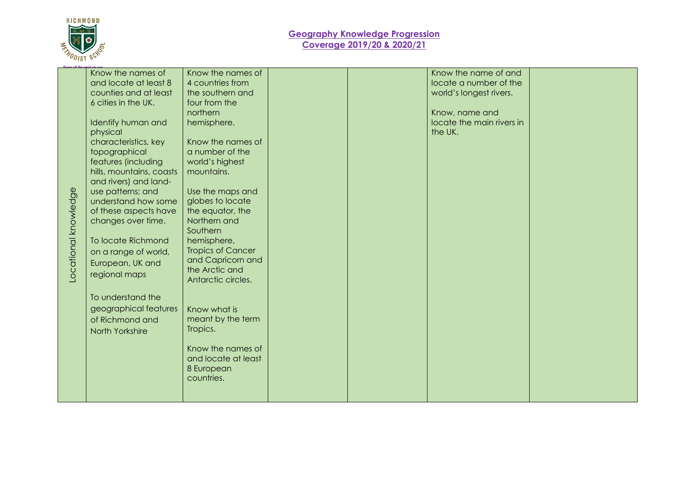

|                      | Know the names of        | Know the names of        |  | Know the name of and      |  |
|----------------------|--------------------------|--------------------------|--|---------------------------|--|
|                      | and locate at least 8    | 4 countries from         |  | locate a number of the    |  |
|                      | counties and at least    | the southern and         |  | world's longest rivers.   |  |
|                      | 6 cities in the UK.      | four from the            |  |                           |  |
|                      |                          | northern                 |  | Know, name and            |  |
|                      | Identify human and       | hemisphere.              |  | locate the main rivers in |  |
|                      |                          |                          |  |                           |  |
|                      | physical                 |                          |  | the UK.                   |  |
|                      | characteristics, key     | Know the names of        |  |                           |  |
|                      | topographical            | a number of the          |  |                           |  |
|                      | features (including      | world's highest          |  |                           |  |
|                      | hills, mountains, coasts | mountains.               |  |                           |  |
|                      | and rivers) and land-    |                          |  |                           |  |
|                      | use patterns; and        | Use the maps and         |  |                           |  |
|                      | understand how some      | globes to locate         |  |                           |  |
|                      | of these aspects have    | the equator, the         |  |                           |  |
|                      | changes over time.       | Northern and             |  |                           |  |
|                      |                          | Southern                 |  |                           |  |
|                      | To locate Richmond       | hemisphere,              |  |                           |  |
|                      | on a range of world,     | <b>Tropics of Cancer</b> |  |                           |  |
|                      |                          | and Capricorn and        |  |                           |  |
|                      | European, UK and         | the Arctic and           |  |                           |  |
| Locational knowledge | regional maps            | Antarctic circles.       |  |                           |  |
|                      |                          |                          |  |                           |  |
|                      | To understand the        |                          |  |                           |  |
|                      | geographical features    | Know what is             |  |                           |  |
|                      |                          |                          |  |                           |  |
|                      | of Richmond and          | meant by the term        |  |                           |  |
|                      | North Yorkshire          | Tropics.                 |  |                           |  |
|                      |                          |                          |  |                           |  |
|                      |                          | Know the names of        |  |                           |  |
|                      |                          | and locate at least      |  |                           |  |
|                      |                          | 8 European               |  |                           |  |
|                      |                          | countries.               |  |                           |  |
|                      |                          |                          |  |                           |  |
|                      |                          |                          |  |                           |  |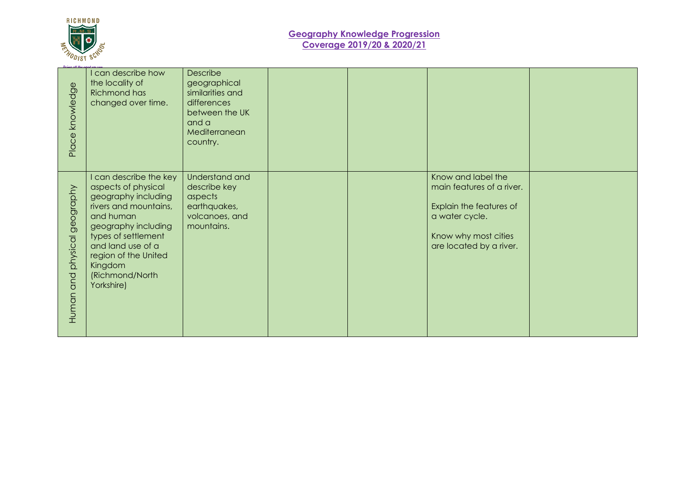

| knowledge                    | I can describe how<br>the locality of<br><b>Richmond has</b><br>changed over time.                                                                                                                                                                | Describe<br>geographical<br>similarities and<br>differences<br>between the UK<br>and a<br>Mediterranean |  |                                                                                                                                                 |  |
|------------------------------|---------------------------------------------------------------------------------------------------------------------------------------------------------------------------------------------------------------------------------------------------|---------------------------------------------------------------------------------------------------------|--|-------------------------------------------------------------------------------------------------------------------------------------------------|--|
| Place <sup>1</sup>           |                                                                                                                                                                                                                                                   | country.                                                                                                |  |                                                                                                                                                 |  |
| Human and physical geography | I can describe the key<br>aspects of physical<br>geography including<br>rivers and mountains,<br>and human<br>geography including<br>types of settlement<br>and land use of a<br>region of the United<br>Kingdom<br>(Richmond/North<br>Yorkshire) | Understand and<br>describe key<br>aspects<br>earthquakes,<br>volcanoes, and<br>mountains.               |  | Know and label the<br>main features of a river.<br>Explain the features of<br>a water cycle.<br>Know why most cities<br>are located by a river. |  |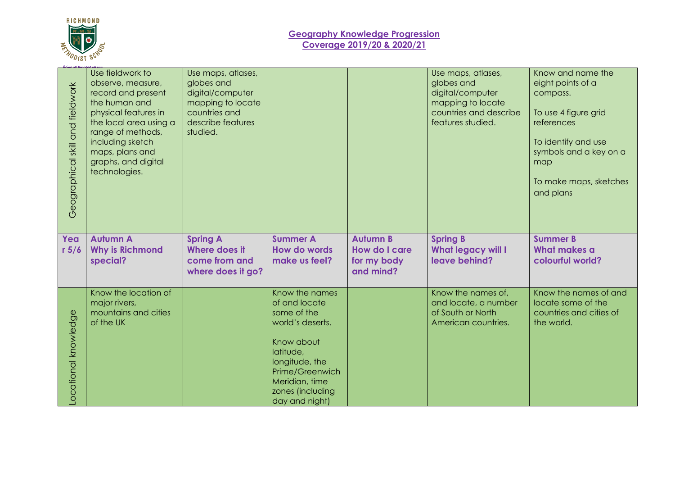

## **Geography Knowledge Progression Coverage 2019/20 & 2020/21**

|                                  | Use fieldwork to                                                                                                                                                                                               | Use maps, atlases,                                                                                    |                                                                                                                 |                                                              | Use maps, atlases,                                                                                 | Know and name the                                                                                                                                                  |
|----------------------------------|----------------------------------------------------------------------------------------------------------------------------------------------------------------------------------------------------------------|-------------------------------------------------------------------------------------------------------|-----------------------------------------------------------------------------------------------------------------|--------------------------------------------------------------|----------------------------------------------------------------------------------------------------|--------------------------------------------------------------------------------------------------------------------------------------------------------------------|
| Geographical skill and fieldwork | observe, measure,<br>record and present<br>the human and<br>physical features in<br>the local area using a<br>range of methods,<br>including sketch<br>maps, plans and<br>graphs, and digital<br>technologies. | globes and<br>digital/computer<br>mapping to locate<br>countries and<br>describe features<br>studied. |                                                                                                                 |                                                              | globes and<br>digital/computer<br>mapping to locate<br>countries and describe<br>features studied. | eight points of a<br>compass.<br>To use 4 figure grid<br>references<br>To identify and use<br>symbols and a key on a<br>map<br>To make maps, sketches<br>and plans |
| Yea<br>r 5/6                     | <b>Autumn A</b><br><b>Why is Richmond</b><br>special?                                                                                                                                                          | <b>Spring A</b><br><b>Where does it</b><br>come from and<br>where does it go?                         | <b>Summer A</b><br>How do words<br>make us feel?                                                                | <b>Autumn B</b><br>How do I care<br>for my body<br>and mind? | <b>Spring B</b><br><b>What legacy will I</b><br>leave behind?                                      | <b>Summer B</b><br><b>What makes a</b><br>colourful world?                                                                                                         |
| ocational knowledge              | Know the location of<br>major rivers,<br>mountains and cities<br>of the UK                                                                                                                                     |                                                                                                       | Know the names<br>of and locate<br>some of the<br>world's deserts.<br>Know about<br>latitude,<br>longitude, the |                                                              | Know the names of,<br>and locate, a number<br>of South or North<br>American countries.             | Know the names of and<br>locate some of the<br>countries and cities of<br>the world.                                                                               |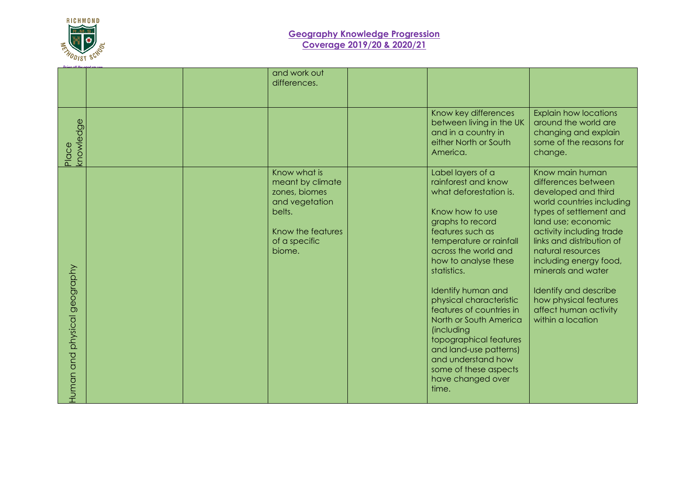

|                                    |  | and work out<br>differences.                                                                                                  |                                                                                                                                                                                                                                                                                                                                                                                                                                                                                      |                                                                                                                                                                                                                                                                                                                                                                           |
|------------------------------------|--|-------------------------------------------------------------------------------------------------------------------------------|--------------------------------------------------------------------------------------------------------------------------------------------------------------------------------------------------------------------------------------------------------------------------------------------------------------------------------------------------------------------------------------------------------------------------------------------------------------------------------------|---------------------------------------------------------------------------------------------------------------------------------------------------------------------------------------------------------------------------------------------------------------------------------------------------------------------------------------------------------------------------|
| knowledge<br>Place                 |  |                                                                                                                               | Know key differences<br>between living in the UK<br>and in a country in<br>either North or South<br>America.                                                                                                                                                                                                                                                                                                                                                                         | <b>Explain how locations</b><br>around the world are<br>changing and explain<br>some of the reasons for<br>change.                                                                                                                                                                                                                                                        |
| physical geography<br>and<br>Human |  | Know what is<br>meant by climate<br>zones, biomes<br>and vegetation<br>belts.<br>Know the features<br>of a specific<br>biome. | Label layers of a<br>rainforest and know<br>what deforestation is.<br>Know how to use<br>graphs to record<br>features such as<br>temperature or rainfall<br>across the world and<br>how to analyse these<br>statistics.<br>Identify human and<br>physical characteristic<br>features of countries in<br>North or South America<br><i>(including</i><br>topographical features<br>and land-use patterns)<br>and understand how<br>some of these aspects<br>have changed over<br>time. | Know main human<br>differences between<br>developed and third<br>world countries including<br>types of settlement and<br>land use; economic<br>activity including trade<br>links and distribution of<br>natural resources<br>including energy food,<br>minerals and water<br>Identify and describe<br>how physical features<br>affect human activity<br>within a location |